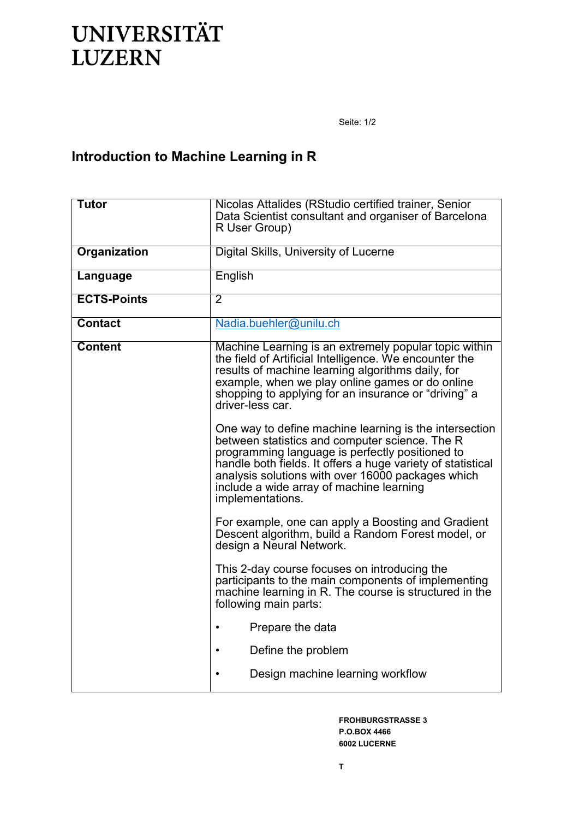## **UNIVERSITÄT LUZERN**

Seite: 1/2

## **Introduction to Machine Learning in R**

| <b>Tutor</b>        | Nicolas Attalides (RStudio certified trainer, Senior<br>Data Scientist consultant and organiser of Barcelona<br>R User Group)                                                                                                                                                                                                                   |
|---------------------|-------------------------------------------------------------------------------------------------------------------------------------------------------------------------------------------------------------------------------------------------------------------------------------------------------------------------------------------------|
| <b>Organization</b> | Digital Skills, University of Lucerne                                                                                                                                                                                                                                                                                                           |
| Language            | English                                                                                                                                                                                                                                                                                                                                         |
| <b>ECTS-Points</b>  | $\overline{2}$                                                                                                                                                                                                                                                                                                                                  |
| <b>Contact</b>      | Nadia.buehler@unilu.ch                                                                                                                                                                                                                                                                                                                          |
| <b>Content</b>      | Machine Learning is an extremely popular topic within<br>the field of Artificial Intelligence. We encounter the<br>results of machine learning algorithms daily, for<br>example, when we play online games or do online<br>shopping to applying for an insurance or "driving" a<br>driver-less car.                                             |
|                     | One way to define machine learning is the intersection<br>between statistics and computer science. The R<br>programming language is perfectly positioned to<br>handle both fields. It offers a huge variety of statistical<br>analysis solutions with over 16000 packages which<br>include a wide array of machine learning<br>implementations. |
|                     | For example, one can apply a Boosting and Gradient<br>Descent algorithm, build a Random Forest model, or<br>design a Neural Network.                                                                                                                                                                                                            |
|                     | This 2-day course focuses on introducing the<br>participants to the main components of implementing<br>machine learning in R. The course is structured in the<br>following main parts:                                                                                                                                                          |
|                     | Prepare the data<br>$\bullet$                                                                                                                                                                                                                                                                                                                   |
|                     | Define the problem                                                                                                                                                                                                                                                                                                                              |
|                     | Design machine learning workflow                                                                                                                                                                                                                                                                                                                |

**FROHBURGSTRASSE 3 P.O.BOX 4466 6002 LUCERNE**